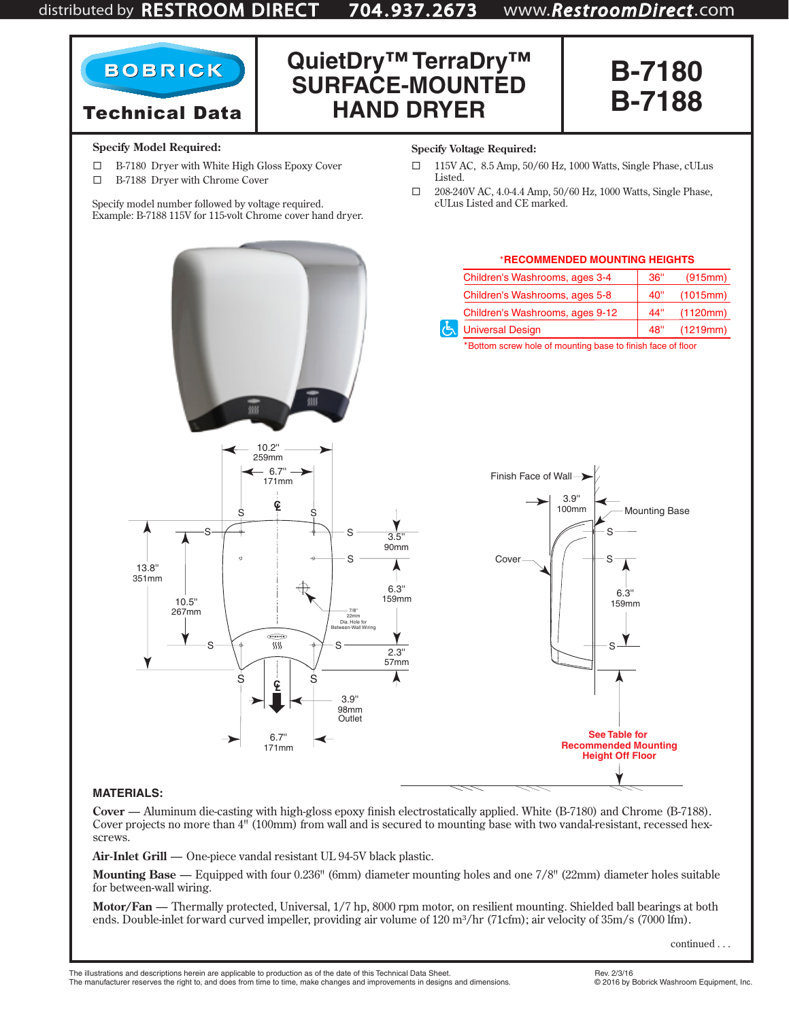# distributed by RESTROOM DIRECT 704 . 937. 2673 www.*RestroomDirect*.com





### **Specify Model Required:**

**BOBRICK** 

- B-7180 Dryer with White High Gloss Epoxy Cover
- B-7188 Dryer with Chrome Cover

Specify model number followed by voltage required. Example: B-7188 115V for 115-volt Chrome cover hand dryer.

#### **Specify Voltage Required:**

**HAND DRYER**

 115V AC, 8.5 Amp, 50/60 Hz, 1000 Watts, Single Phase, cULus Listed.

**B-7188**

 $\Box$  208-240V AC, 4.0-4.4 Amp, 50/60 Hz, 1000 Watts, Single Phase, cULus Listed and CE marked.



### **MATERIALS:**

**Cover** — Aluminum die-casting with high-gloss epoxy finish electrostatically applied. White (B-7180) and Chrome (B-7188). Cover projects no more than 4" (100mm) from wall and is secured to mounting base with two vandal-resistant, recessed hexscrews.

**Air-Inlet Grill** — One-piece vandal resistant UL 94-5V black plastic.

**Mounting Base** — Equipped with four 0.236" (6mm) diameter mounting holes and one 7/8" (22mm) diameter holes suitable for between-wall wiring.

**Motor/Fan** — Thermally protected, Universal, 1/7 hp, 8000 rpm motor, on resilient mounting. Shielded ball bearings at both ends. Double-inlet forward curved impeller, providing air volume of 120 m<sup>3</sup>/hr (71cfm); air velocity of 35m/s (7000 lfm).

continued . . .